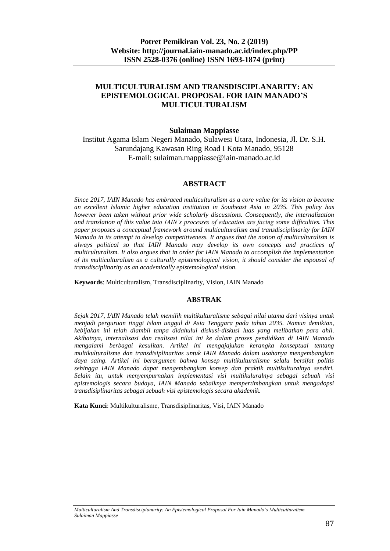## **MULTICULTURALISM AND TRANSDISCIPLANARITY: AN EPISTEMOLOGICAL PROPOSAL FOR IAIN MANADO'S MULTICULTURALISM**

#### **Sulaiman Mappiasse**

Institut Agama Islam Negeri Manado, Sulawesi Utara, Indonesia, Jl. Dr. S.H. Sarundajang Kawasan Ring Road I Kota Manado, 95128 E-mail: sulaiman.mappiasse@iain-manado.ac.id

#### **ABSTRACT**

*Since 2017, IAIN Manado has embraced multiculturalism as a core value for its vision to become an excellent Islamic higher education institution in Southeast Asia in 2035. This policy has however been taken without prior wide scholarly discussions. Consequently, the internalization and translation of this value into IAIN's processes of education are facing some difficulties. This paper proposes a conceptual framework around multiculturalism and transdisciplinarity for IAIN Manado in its attempt to develop competitiveness. It argues that the notion of multiculturalism is always political so that IAIN Manado may develop its own concepts and practices of multiculturalism. It also argues that in order for IAIN Manado to accomplish the implementation of its multiculturalism as a culturally epistemological vision, it should consider the espousal of transdisciplinarity as an academically epistemological vision.*

**Keywords**: Multiculturalism, Transdisciplinarity, Vision, IAIN Manado

#### **ABSTRAK**

*Sejak 2017, IAIN Manado telah memilih multikulturalisme sebagai nilai utama dari visinya untuk menjadi perguruan tinggi Islam unggul di Asia Tenggara pada tahun 2035. Namun demikian, kebijakan ini telah diambil tanpa didahului diskusi-diskusi luas yang melibatkan para ahli. Akibatnya, internalisasi dan realisasi nilai ini ke dalam proses pendidikan di IAIN Manado mengalami berbagai kesulitan. Artikel ini mengajajukan kerangka konseptual tentang multikulturalisme dan transdisiplinaritas untuk IAIN Manado dalam usahanya mengembangkan daya saing. Artikel ini berargumen bahwa konsep multikulturalisme selalu bersifat politis sehingga IAIN Manado dapat mengembangkan konsep dan praktik multikulturalnya sendiri. Selain itu, untuk menyempurnakan implementasi visi multikuluralnya sebagai sebuah visi epistemologis secara budaya, IAIN Manado sebaiknya mempertimbangkan untuk mengadopsi transdisiplinaritas sebagai sebuah visi epistemologis secara akademik.*

**Kata Kunci**: Multikulturalisme, Transdisiplinaritas, Visi, IAIN Manado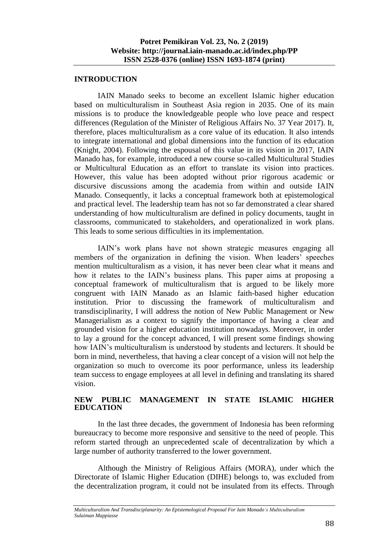#### **INTRODUCTION**

IAIN Manado seeks to become an excellent Islamic higher education based on multiculturalism in Southeast Asia region in 2035. One of its main missions is to produce the knowledgeable people who love peace and respect differences (Regulation of the Minister of Religious Affairs No. 37 Year 2017). It, therefore, places multiculturalism as a core value of its education. It also intends to integrate international and global dimensions into the function of its education (Knight, 2004). Following the espousal of this value in its vision in 2017, IAIN Manado has, for example, introduced a new course so-called Multicultural Studies or Multicultural Education as an effort to translate its vision into practices. However, this value has been adopted without prior rigorous academic or discursive discussions among the academia from within and outside IAIN Manado. Consequently, it lacks a conceptual framework both at epistemological and practical level. The leadership team has not so far demonstrated a clear shared understanding of how multiculturalism are defined in policy documents, taught in classrooms, communicated to stakeholders, and operationalized in work plans. This leads to some serious difficulties in its implementation.

IAIN's work plans have not shown strategic measures engaging all members of the organization in defining the vision. When leaders' speeches mention multiculturalism as a vision, it has never been clear what it means and how it relates to the IAIN's business plans. This paper aims at proposing a conceptual framework of multiculturalism that is argued to be likely more congruent with IAIN Manado as an Islamic faith-based higher education institution. Prior to discussing the framework of multiculturalism and transdisciplinarity, I will address the notion of New Public Management or New Managerialism as a context to signify the importance of having a clear and grounded vision for a higher education institution nowadays. Moreover, in order to lay a ground for the concept advanced, I will present some findings showing how IAIN's multiculturalism is understood by students and lecturers. It should be born in mind, nevertheless, that having a clear concept of a vision will not help the organization so much to overcome its poor performance, unless its leadership team success to engage employees at all level in defining and translating its shared vision.

# **NEW PUBLIC MANAGEMENT IN STATE ISLAMIC HIGHER EDUCATION**

In the last three decades, the government of Indonesia has been reforming bureaucracy to become more responsive and sensitive to the need of people. This reform started through an unprecedented scale of decentralization by which a large number of authority transferred to the lower government.

Although the Ministry of Religious Affairs (MORA), under which the Directorate of Islamic Higher Education (DIHE) belongs to, was excluded from the decentralization program, it could not be insulated from its effects. Through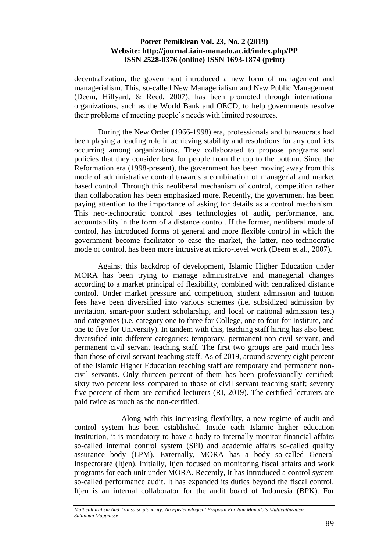decentralization, the government introduced a new form of management and managerialism. This, so-called New Managerialism and New Public Management (Deem, Hillyard, & Reed, 2007), has been promoted through international organizations, such as the World Bank and OECD, to help governments resolve their problems of meeting people's needs with limited resources.

During the New Order (1966-1998) era, professionals and bureaucrats had been playing a leading role in achieving stability and resolutions for any conflicts occurring among organizations. They collaborated to propose programs and policies that they consider best for people from the top to the bottom. Since the Reformation era (1998-present), the government has been moving away from this mode of administrative control towards a combination of managerial and market based control. Through this neoliberal mechanism of control, competition rather than collaboration has been emphasized more. Recently, the government has been paying attention to the importance of asking for details as a control mechanism. This neo-technocratic control uses technologies of audit, performance, and accountability in the form of a distance control. If the former, neoliberal mode of control, has introduced forms of general and more flexible control in which the government become facilitator to ease the market, the latter, neo-technocratic mode of control, has been more intrusive at micro-level work (Deem et al., 2007).

Against this backdrop of development, Islamic Higher Education under MORA has been trying to manage administrative and managerial changes according to a market principal of flexibility, combined with centralized distance control. Under market pressure and competition, student admission and tuition fees have been diversified into various schemes (i.e. subsidized admission by invitation, smart-poor student scholarship, and local or national admission test) and categories (i.e. category one to three for College, one to four for Institute, and one to five for University). In tandem with this, teaching staff hiring has also been diversified into different categories: temporary, permanent non-civil servant, and permanent civil servant teaching staff. The first two groups are paid much less than those of civil servant teaching staff. As of 2019, around seventy eight percent of the Islamic Higher Education teaching staff are temporary and permanent noncivil servants. Only thirteen percent of them has been professionally certified; sixty two percent less compared to those of civil servant teaching staff; seventy five percent of them are certified lecturers (RI, 2019). The certified lecturers are paid twice as much as the non-certified.

Along with this increasing flexibility, a new regime of audit and control system has been established. Inside each Islamic higher education institution, it is mandatory to have a body to internally monitor financial affairs so-called internal control system (SPI) and academic affairs so-called quality assurance body (LPM). Externally, MORA has a body so-called General Inspectorate (Itjen). Initially, Itjen focused on monitoring fiscal affairs and work programs for each unit under MORA. Recently, it has introduced a control system so-called performance audit. It has expanded its duties beyond the fiscal control. Itjen is an internal collaborator for the audit board of Indonesia (BPK). For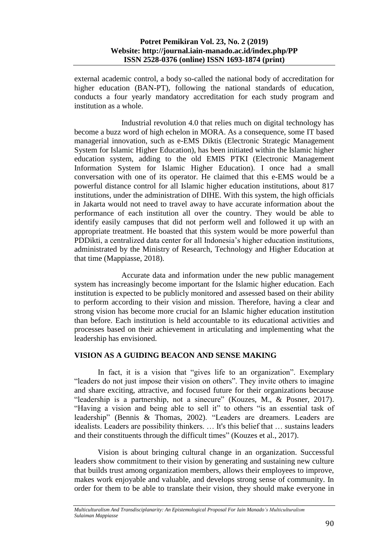external academic control, a body so-called the national body of accreditation for higher education (BAN-PT), following the national standards of education, conducts a four yearly mandatory accreditation for each study program and institution as a whole.

Industrial revolution 4.0 that relies much on digital technology has become a buzz word of high echelon in MORA. As a consequence, some IT based managerial innovation, such as e-EMS Diktis (Electronic Strategic Management System for Islamic Higher Education), has been initiated within the Islamic higher education system, adding to the old EMIS PTKI (Electronic Management Information System for Islamic Higher Education). I once had a small conversation with one of its operator. He claimed that this e-EMS would be a powerful distance control for all Islamic higher education institutions, about 817 institutions, under the administration of DIHE. With this system, the high officials in Jakarta would not need to travel away to have accurate information about the performance of each institution all over the country. They would be able to identify easily campuses that did not perform well and followed it up with an appropriate treatment. He boasted that this system would be more powerful than PDDikti, a centralized data center for all Indonesia's higher education institutions, administrated by the Ministry of Research, Technology and Higher Education at that time (Mappiasse, 2018).

Accurate data and information under the new public management system has increasingly become important for the Islamic higher education. Each institution is expected to be publicly monitored and assessed based on their ability to perform according to their vision and mission. Therefore, having a clear and strong vision has become more crucial for an Islamic higher education institution than before. Each institution is held accountable to its educational activities and processes based on their achievement in articulating and implementing what the leadership has envisioned.

# **VISION AS A GUIDING BEACON AND SENSE MAKING**

In fact, it is a vision that "gives life to an organization". Exemplary "leaders do not just impose their vision on others". They invite others to imagine and share exciting, attractive, and focused future for their organizations because "leadership is a partnership, not a sinecure" (Kouzes, M., & Posner, 2017). "Having a vision and being able to sell it" to others "is an essential task of leadership" (Bennis & Thomas, 2002). "Leaders are dreamers. Leaders are idealists. Leaders are possibility thinkers. … It's this belief that … sustains leaders and their constituents through the difficult times" (Kouzes et al., 2017).

Vision is about bringing cultural change in an organization. Successful leaders show commitment to their vision by generating and sustaining new culture that builds trust among organization members, allows their employees to improve, makes work enjoyable and valuable, and develops strong sense of community. In order for them to be able to translate their vision, they should make everyone in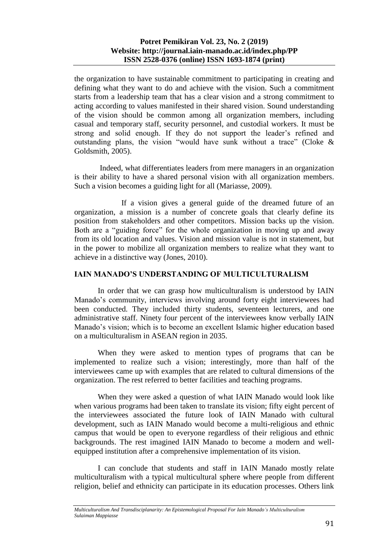the organization to have sustainable commitment to participating in creating and defining what they want to do and achieve with the vision. Such a commitment starts from a leadership team that has a clear vision and a strong commitment to acting according to values manifested in their shared vision. Sound understanding of the vision should be common among all organization members, including casual and temporary staff, security personnel, and custodial workers. It must be strong and solid enough. If they do not support the leader's refined and outstanding plans, the vision "would have sunk without a trace" (Cloke & Goldsmith, 2005).

Indeed, what differentiates leaders from mere managers in an organization is their ability to have a shared personal vision with all organization members. Such a vision becomes a guiding light for all (Mariasse, 2009).

If a vision gives a general guide of the dreamed future of an organization, a mission is a number of concrete goals that clearly define its position from stakeholders and other competitors. Mission backs up the vision. Both are a "guiding force" for the whole organization in moving up and away from its old location and values. Vision and mission value is not in statement, but in the power to mobilize all organization members to realize what they want to achieve in a distinctive way (Jones, 2010).

### **IAIN MANADO'S UNDERSTANDING OF MULTICULTURALISM**

In order that we can grasp how multiculturalism is understood by IAIN Manado's community, interviews involving around forty eight interviewees had been conducted. They included thirty students, seventeen lecturers, and one administrative staff. Ninety four percent of the interviewees know verbally IAIN Manado's vision; which is to become an excellent Islamic higher education based on a multiculturalism in ASEAN region in 2035.

When they were asked to mention types of programs that can be implemented to realize such a vision; interestingly, more than half of the interviewees came up with examples that are related to cultural dimensions of the organization. The rest referred to better facilities and teaching programs.

When they were asked a question of what IAIN Manado would look like when various programs had been taken to translate its vision; fifty eight percent of the interviewees associated the future look of IAIN Manado with cultural development, such as IAIN Manado would become a multi-religious and ethnic campus that would be open to everyone regardless of their religious and ethnic backgrounds. The rest imagined IAIN Manado to become a modern and wellequipped institution after a comprehensive implementation of its vision.

I can conclude that students and staff in IAIN Manado mostly relate multiculturalism with a typical multicultural sphere where people from different religion, belief and ethnicity can participate in its education processes. Others link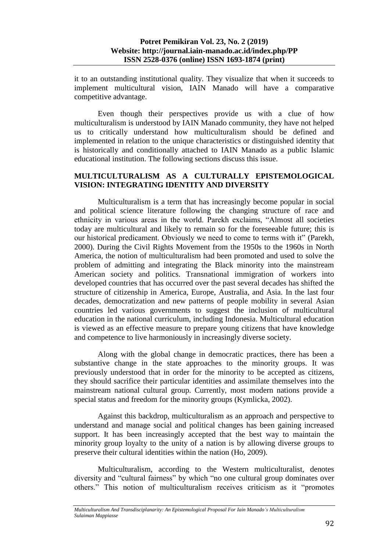it to an outstanding institutional quality. They visualize that when it succeeds to implement multicultural vision, IAIN Manado will have a comparative competitive advantage.

Even though their perspectives provide us with a clue of how multiculturalism is understood by IAIN Manado community, they have not helped us to critically understand how multiculturalism should be defined and implemented in relation to the unique characteristics or distinguished identity that is historically and conditionally attached to IAIN Manado as a public Islamic educational institution. The following sections discuss this issue.

## **MULTICULTURALISM AS A CULTURALLY EPISTEMOLOGICAL VISION: INTEGRATING IDENTITY AND DIVERSITY**

Multiculturalism is a term that has increasingly become popular in social and political science literature following the changing structure of race and ethnicity in various areas in the world. Parekh exclaims, "Almost all societies today are multicultural and likely to remain so for the foreseeable future; this is our historical predicament. Obviously we need to come to terms with it" (Parekh, 2000). During the Civil Rights Movement from the 1950s to the 1960s in North America, the notion of multiculturalism had been promoted and used to solve the problem of admitting and integrating the Black minority into the mainstream American society and politics. Transnational immigration of workers into developed countries that has occurred over the past several decades has shifted the structure of citizenship in America, Europe, Australia, and Asia. In the last four decades, democratization and new patterns of people mobility in several Asian countries led various governments to suggest the inclusion of multicultural education in the national curriculum, including Indonesia. Multicultural education is viewed as an effective measure to prepare young citizens that have knowledge and competence to live harmoniously in increasingly diverse society.

Along with the global change in democratic practices, there has been a substantive change in the state approaches to the minority groups. It was previously understood that in order for the minority to be accepted as citizens, they should sacrifice their particular identities and assimilate themselves into the mainstream national cultural group. Currently, most modern nations provide a special status and freedom for the minority groups (Kymlicka, 2002).

Against this backdrop, multiculturalism as an approach and perspective to understand and manage social and political changes has been gaining increased support. It has been increasingly accepted that the best way to maintain the minority group loyalty to the unity of a nation is by allowing diverse groups to preserve their cultural identities within the nation (Ho, 2009).

Multiculturalism, according to the Western multiculturalist, denotes diversity and "cultural fairness" by which "no one cultural group dominates over others." This notion of multiculturalism receives criticism as it "promotes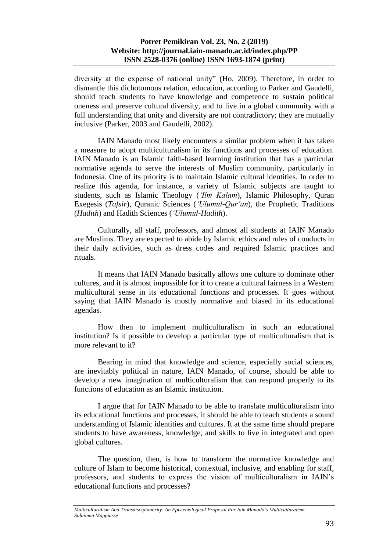diversity at the expense of national unity" (Ho, 2009). Therefore, in order to dismantle this dichotomous relation, education, according to Parker and Gaudelli, should teach students to have knowledge and competence to sustain political oneness and preserve cultural diversity, and to live in a global community with a full understanding that unity and diversity are not contradictory; they are mutually inclusive (Parker, 2003 and Gaudelli, 2002).

IAIN Manado most likely encounters a similar problem when it has taken a measure to adopt multiculturalism in its functions and processes of education. IAIN Manado is an Islamic faith-based learning institution that has a particular normative agenda to serve the interests of Muslim community, particularly in Indonesia. One of its priority is to maintain Islamic cultural identities. In order to realize this agenda, for instance, a variety of Islamic subjects are taught to students, such as Islamic Theology (*'Ilm Kalam*), Islamic Philosophy, Quran Exegesis (*Tafsir*), Quranic Sciences (*'Ulumul-Qur'an*), the Prophetic Traditions (*Hadith*) and Hadith Sciences (*'Ulumul-Hadith*).

Culturally, all staff, professors, and almost all students at IAIN Manado are Muslims. They are expected to abide by Islamic ethics and rules of conducts in their daily activities, such as dress codes and required Islamic practices and rituals.

It means that IAIN Manado basically allows one culture to dominate other cultures, and it is almost impossible for it to create a cultural fairness in a Western multicultural sense in its educational functions and processes. It goes without saying that IAIN Manado is mostly normative and biased in its educational agendas.

How then to implement multiculturalism in such an educational institution? Is it possible to develop a particular type of multiculturalism that is more relevant to it?

Bearing in mind that knowledge and science, especially social sciences, are inevitably political in nature, IAIN Manado, of course, should be able to develop a new imagination of multiculturalism that can respond properly to its functions of education as an Islamic institution.

I argue that for IAIN Manado to be able to translate multiculturalism into its educational functions and processes, it should be able to teach students a sound understanding of Islamic identities and cultures. It at the same time should prepare students to have awareness, knowledge, and skills to live in integrated and open global cultures.

The question, then, is how to transform the normative knowledge and culture of Islam to become historical, contextual, inclusive, and enabling for staff, professors, and students to express the vision of multiculturalism in IAIN's educational functions and processes?

*Multiculturalism And Transdisciplanarity: An Epistemological Proposal For Iain Manado's Multiculturalism Sulaiman Mappiasse*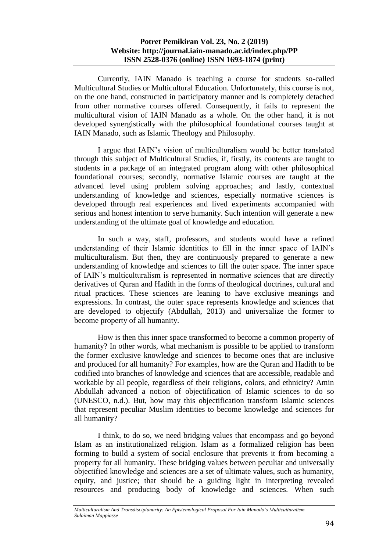Currently, IAIN Manado is teaching a course for students so-called Multicultural Studies or Multicultural Education. Unfortunately, this course is not, on the one hand, constructed in participatory manner and is completely detached from other normative courses offered. Consequently, it fails to represent the multicultural vision of IAIN Manado as a whole. On the other hand, it is not developed synergistically with the philosophical foundational courses taught at IAIN Manado, such as Islamic Theology and Philosophy.

I argue that IAIN's vision of multiculturalism would be better translated through this subject of Multicultural Studies, if, firstly, its contents are taught to students in a package of an integrated program along with other philosophical foundational courses; secondly, normative Islamic courses are taught at the advanced level using problem solving approaches; and lastly, contextual understanding of knowledge and sciences, especially normative sciences is developed through real experiences and lived experiments accompanied with serious and honest intention to serve humanity. Such intention will generate a new understanding of the ultimate goal of knowledge and education.

In such a way, staff, professors, and students would have a refined understanding of their Islamic identities to fill in the inner space of IAIN's multiculturalism. But then, they are continuously prepared to generate a new understanding of knowledge and sciences to fill the outer space. The inner space of IAIN's multiculturalism is represented in normative sciences that are directly derivatives of Quran and Hadith in the forms of theological doctrines, cultural and ritual practices. These sciences are leaning to have exclusive meanings and expressions. In contrast, the outer space represents knowledge and sciences that are developed to objectify (Abdullah, 2013) and universalize the former to become property of all humanity.

How is then this inner space transformed to become a common property of humanity? In other words, what mechanism is possible to be applied to transform the former exclusive knowledge and sciences to become ones that are inclusive and produced for all humanity? For examples, how are the Quran and Hadith to be codified into branches of knowledge and sciences that are accessible, readable and workable by all people, regardless of their religions, colors, and ethnicity? Amin Abdullah advanced a notion of objectification of Islamic sciences to do so (UNESCO, n.d.). But, how may this objectification transform Islamic sciences that represent peculiar Muslim identities to become knowledge and sciences for all humanity?

I think, to do so, we need bridging values that encompass and go beyond Islam as an institutionalized religion. Islam as a formalized religion has been forming to build a system of social enclosure that prevents it from becoming a property for all humanity. These bridging values between peculiar and universally objectified knowledge and sciences are a set of ultimate values, such as humanity, equity, and justice; that should be a guiding light in interpreting revealed resources and producing body of knowledge and sciences. When such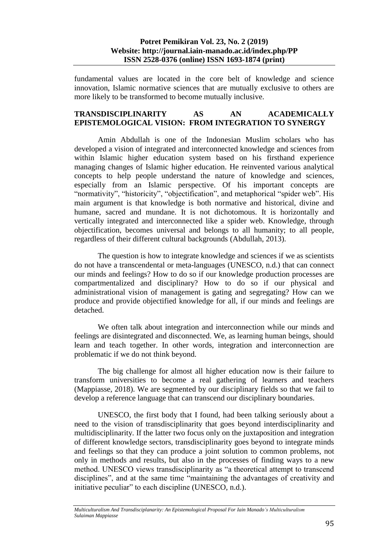fundamental values are located in the core belt of knowledge and science innovation, Islamic normative sciences that are mutually exclusive to others are more likely to be transformed to become mutually inclusive.

## **TRANSDISCIPLINARITY AS AN ACADEMICALLY EPISTEMOLOGICAL VISION: FROM INTEGRATION TO SYNERGY**

Amin Abdullah is one of the Indonesian Muslim scholars who has developed a vision of integrated and interconnected knowledge and sciences from within Islamic higher education system based on his firsthand experience managing changes of Islamic higher education. He reinvented various analytical concepts to help people understand the nature of knowledge and sciences, especially from an Islamic perspective. Of his important concepts are "normativity", "historicity", "objectification", and metaphorical "spider web". His main argument is that knowledge is both normative and historical, divine and humane, sacred and mundane. It is not dichotomous. It is horizontally and vertically integrated and interconnected like a spider web. Knowledge, through objectification, becomes universal and belongs to all humanity; to all people, regardless of their different cultural backgrounds (Abdullah, 2013).

The question is how to integrate knowledge and sciences if we as scientists do not have a transcendental or meta-languages (UNESCO, n.d.) that can connect our minds and feelings? How to do so if our knowledge production processes are compartmentalized and disciplinary? How to do so if our physical and administrational vision of management is gating and segregating? How can we produce and provide objectified knowledge for all, if our minds and feelings are detached.

We often talk about integration and interconnection while our minds and feelings are disintegrated and disconnected. We, as learning human beings, should learn and teach together. In other words, integration and interconnection are problematic if we do not think beyond.

The big challenge for almost all higher education now is their failure to transform universities to become a real gathering of learners and teachers (Mappiasse, 2018). We are segmented by our disciplinary fields so that we fail to develop a reference language that can transcend our disciplinary boundaries.

UNESCO, the first body that I found, had been talking seriously about a need to the vision of transdisciplinarity that goes beyond interdisciplinarity and multidisciplinarity. If the latter two focus only on the juxtaposition and integration of different knowledge sectors, transdisciplinarity goes beyond to integrate minds and feelings so that they can produce a joint solution to common problems, not only in methods and results, but also in the processes of finding ways to a new method. UNESCO views transdisciplinarity as "a theoretical attempt to transcend disciplines", and at the same time "maintaining the advantages of creativity and initiative peculiar" to each discipline (UNESCO, n.d.).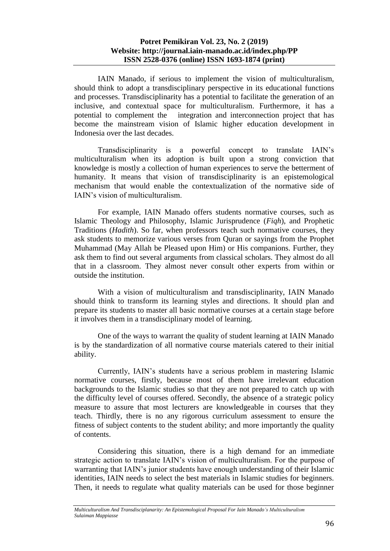IAIN Manado, if serious to implement the vision of multiculturalism, should think to adopt a transdisciplinary perspective in its educational functions and processes. Transdisciplinarity has a potential to facilitate the generation of an inclusive, and contextual space for multiculturalism. Furthermore, it has a potential to complement the integration and interconnection project that has become the mainstream vision of Islamic higher education development in Indonesia over the last decades.

Transdisciplinarity is a powerful concept to translate IAIN's multiculturalism when its adoption is built upon a strong conviction that knowledge is mostly a collection of human experiences to serve the betterment of humanity. It means that vision of transdisciplinarity is an epistemological mechanism that would enable the contextualization of the normative side of IAIN's vision of multiculturalism.

For example, IAIN Manado offers students normative courses, such as Islamic Theology and Philosophy, Islamic Jurisprudence (*Fiqh*), and Prophetic Traditions (*Hadith*). So far, when professors teach such normative courses, they ask students to memorize various verses from Quran or sayings from the Prophet Muhammad (May Allah be Pleased upon Him) or His companions. Further, they ask them to find out several arguments from classical scholars. They almost do all that in a classroom. They almost never consult other experts from within or outside the institution.

With a vision of multiculturalism and transdisciplinarity, IAIN Manado should think to transform its learning styles and directions. It should plan and prepare its students to master all basic normative courses at a certain stage before it involves them in a transdisciplinary model of learning.

One of the ways to warrant the quality of student learning at IAIN Manado is by the standardization of all normative course materials catered to their initial ability.

Currently, IAIN's students have a serious problem in mastering Islamic normative courses, firstly, because most of them have irrelevant education backgrounds to the Islamic studies so that they are not prepared to catch up with the difficulty level of courses offered. Secondly, the absence of a strategic policy measure to assure that most lecturers are knowledgeable in courses that they teach. Thirdly, there is no any rigorous curriculum assessment to ensure the fitness of subject contents to the student ability; and more importantly the quality of contents.

Considering this situation, there is a high demand for an immediate strategic action to translate IAIN's vision of multiculturalism. For the purpose of warranting that IAIN's junior students have enough understanding of their Islamic identities, IAIN needs to select the best materials in Islamic studies for beginners. Then, it needs to regulate what quality materials can be used for those beginner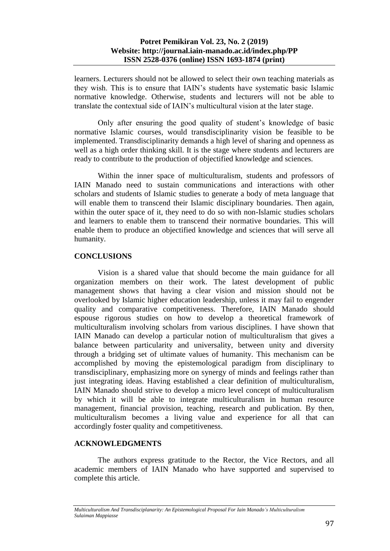learners. Lecturers should not be allowed to select their own teaching materials as they wish. This is to ensure that IAIN's students have systematic basic Islamic normative knowledge. Otherwise, students and lecturers will not be able to translate the contextual side of IAIN's multicultural vision at the later stage.

Only after ensuring the good quality of student's knowledge of basic normative Islamic courses, would transdisciplinarity vision be feasible to be implemented. Transdisciplinarity demands a high level of sharing and openness as well as a high order thinking skill. It is the stage where students and lecturers are ready to contribute to the production of objectified knowledge and sciences.

Within the inner space of multiculturalism, students and professors of IAIN Manado need to sustain communications and interactions with other scholars and students of Islamic studies to generate a body of meta language that will enable them to transcend their Islamic disciplinary boundaries. Then again, within the outer space of it, they need to do so with non-Islamic studies scholars and learners to enable them to transcend their normative boundaries. This will enable them to produce an objectified knowledge and sciences that will serve all humanity.

# **CONCLUSIONS**

Vision is a shared value that should become the main guidance for all organization members on their work. The latest development of public management shows that having a clear vision and mission should not be overlooked by Islamic higher education leadership, unless it may fail to engender quality and comparative competitiveness. Therefore, IAIN Manado should espouse rigorous studies on how to develop a theoretical framework of multiculturalism involving scholars from various disciplines. I have shown that IAIN Manado can develop a particular notion of multiculturalism that gives a balance between particularity and universality, between unity and diversity through a bridging set of ultimate values of humanity. This mechanism can be accomplished by moving the epistemological paradigm from disciplinary to transdisciplinary, emphasizing more on synergy of minds and feelings rather than just integrating ideas. Having established a clear definition of multiculturalism, IAIN Manado should strive to develop a micro level concept of multiculturalism by which it will be able to integrate multiculturalism in human resource management, financial provision, teaching, research and publication. By then, multiculturalism becomes a living value and experience for all that can accordingly foster quality and competitiveness.

# **ACKNOWLEDGMENTS**

The authors express gratitude to the Rector, the Vice Rectors, and all academic members of IAIN Manado who have supported and supervised to complete this article.

*Multiculturalism And Transdisciplanarity: An Epistemological Proposal For Iain Manado's Multiculturalism Sulaiman Mappiasse*